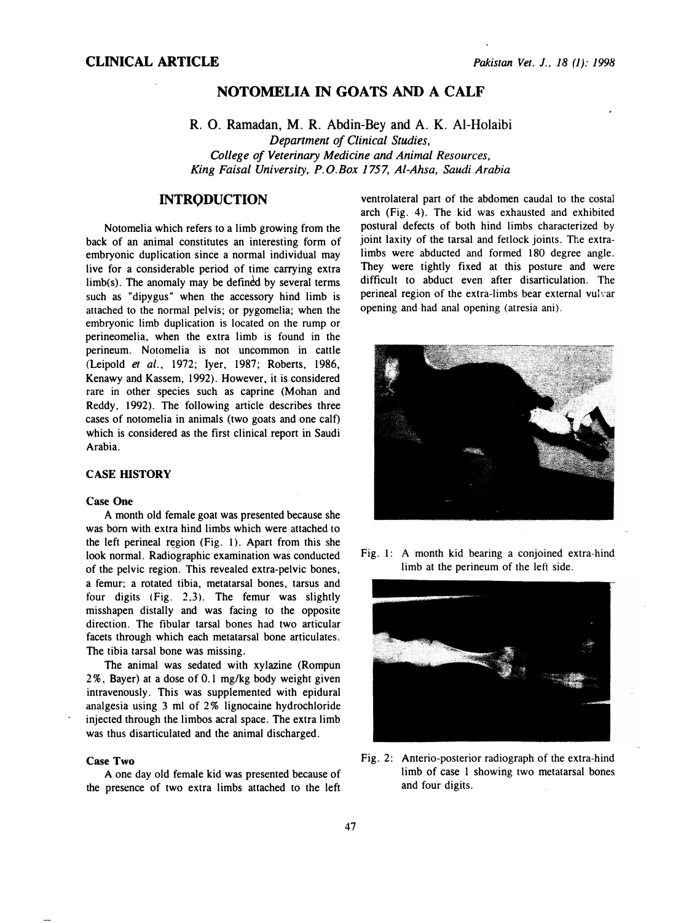# NOTOMELIA IN GOATS AND A CALF

# R. 0. Ramadan, M. R. Abdin-Bey and A. K. Al-Holaibi Department of Clinical Studies, College of Veterinary Medicine and Animal Resources, King Faisal University, P. O.Box 1757, Al-Ahsa, Saudi Arabia

# **INTRODUCTION**

Notomelia which refers to a limb growing from the back of an animal constitutes an interesting form of embryonic duplication since a normal individual may live for a considerable period of time carrying extra  $limb(s)$ . The anomaly may be defined by several terms such as "dipygus" when the accessory hind limb is attached to the normal pelvis; or pygomelia; when the embryonic limb duplication is located on the rump or perineomelia, when the extra limb is found in the perineum. Notomelia is not uncommon in cattle (Leipold et al., 1972; Iyer, 1987; Roberts, 1986, Kenawy and Kassem, 1992). However, it is considered rare in other species such as caprine (Mohan and Reddy. 1992). The following article describes three cases of notomelia in animals (two goats and one calt) which is considered as the first clinical report in Saudi Arabia.

### CASE HISTORY

#### Case One

A month old female goat was presented because she was born with extra hind limbs which were attached to the left perineal region (Fig. 1). Apart from this she look normal. Radiographic examination was conducted of the pelvic region. This revealed extra-pelvic bones, a femur; a rotated tibia, metatarsal bones, tarsus and four digits (Fig. 2.3). The femur was slightly misshapen distally and was facing to the opposite direction. The fibular tarsal bones had two articular facets through which each metatarsal bone articulates. The tibia tarsal bone was missing.

The animal was sedated with xylazine (Rompun 2%, Bayer) at a dose of 0.1 mg/kg body weight given intravenously. This was supplemented with epidural analgesia using 3 ml of 2% lignocaine hydrochloride injected through the limbos acral space. The extra limb was thus disarticulated and the animal discharged.

#### Case Two

A one day old female kid was presented because of the presence of two extra limbs attached to the left

ventrolateral part of the abdomen caudal to the costal arch (Fig. 4). The kid was exhausted and exhibited postural defects of both hind limbs characterized by joint laxity of the tarsal and fetlock joints. The extralimbs were abducted and formed 180 degree angle. They were tightly fixed at this posture and were difficult to abduct even after disarticulation. The perineal region of the extra-limbs bear external vulvar opening and had anal opening (atresia ani).



Fig. 1: A month kid bearing a conjoined extra-hind limb at the perineum of the left side.



Fig. 2: Anterio-posterior radiograph of the extra-hind limb of case 1 showing two metatarsal bones and four digits.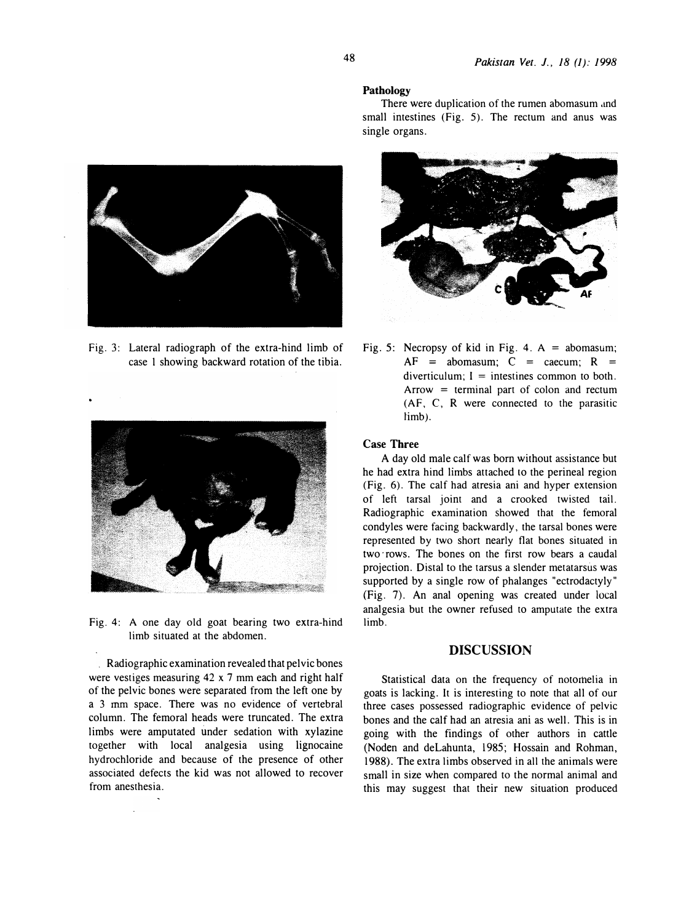

Fig. 3: Lateral radiograph of the extra-hind limb of case 1 showing backward rotation of the tibia.



Fig. 4: A one day old goat bearing two extra-hind limb situated at the abdomen.

Radiographic examination revealed that pelvic bones were vestiges measuring 42 x 7 mm each and right half of the pelvic bones were separated from the left one by a 3 mm space. There was no evidence of vertebral column. The femoral heads were truncated. The extra limbs were amputated under sedation with xylazine together with local analgesia using lignocaine hydrochloride and because of the presence of other associated defects the kid was not allowed to recover from anesthesia.

#### Pathology

There were duplication of the rumen abomasum and small intestines (Fig. 5). The rectum and anus was single organs.



Fig. 5: Necropsy of kid in Fig. 4.  $A =$  abomasum;  $AF = abomasum$ ;  $C = caecum$ ;  $R =$ diverticulum:  $I =$  intestines common to both. Arrow  $=$  terminal part of colon and rectum (AF, C, R were connected to the parasitic limb).

### Case Three

A day old male calf was born without assistance but he had extra hind limbs attached to the perineal region (Fig. 6). The calf had atresia ani and hyper extension of left tarsal joint and a crooked twisted tail. Radiographic examination showed that the femoral condyles were facing backwardly, the tarsal bones were represented by two short nearly flat bones situated in two rows. The bones on the first row bears a caudal projection. Distal to the tarsus a slender metatarsus was supported by a single row of phalanges "ectrodactyly" (Fig. 7). An anal opening was created under local analgesia but the owner refused to amputate the extra limb.

### DISCUSSION

Statistical data on the frequency of notorhelia in goats is lacking. It is interesting to note that all of our three cases possessed radiographic evidence of pelvic bones and the calf had an atresia ani as well. This is in going with the findings of other authors in cattle (Noden and deLahunta, 1985; Hossain and Rohman, 1988). The extra limbs observed in all the animals were small in size when compared to the normal animal and this may suggest that their new situation produced